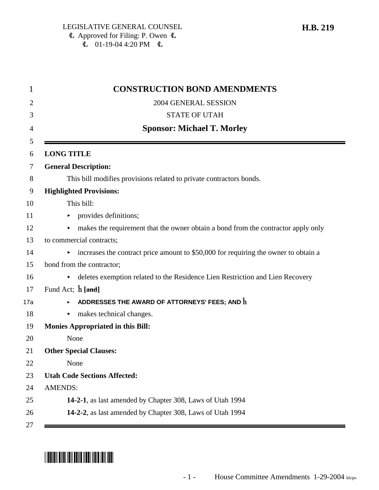| 1   | <b>CONSTRUCTION BOND AMENDMENTS</b>                                                      |
|-----|------------------------------------------------------------------------------------------|
| 2   | 2004 GENERAL SESSION                                                                     |
| 3   | <b>STATE OF UTAH</b>                                                                     |
| 4   | <b>Sponsor: Michael T. Morley</b>                                                        |
| 5   |                                                                                          |
| 6   | <b>LONG TITLE</b>                                                                        |
| 7   | <b>General Description:</b>                                                              |
| 8   | This bill modifies provisions related to private contractors bonds.                      |
| 9   | <b>Highlighted Provisions:</b>                                                           |
| 10  | This bill:                                                                               |
| 11  | provides definitions;<br>▶                                                               |
| 12  | makes the requirement that the owner obtain a bond from the contractor apply only<br>►   |
| 13  | to commercial contracts;                                                                 |
| 14  | increases the contract price amount to \$50,000 for requiring the owner to obtain a<br>► |
| 15  | bond from the contractor;                                                                |
| 16  | deletes exemption related to the Residence Lien Restriction and Lien Recovery<br>▶       |
| 17  | Fund Act; $\hat{\mathbf{h}}$ [and]                                                       |
| 17a | ADDRESSES THE AWARD OF ATTORNEYS' FEES; AND $\mathbf{\hat{h}}$                           |
| 18  | makes technical changes.<br>▶                                                            |
| 19  | <b>Monies Appropriated in this Bill:</b>                                                 |
| 20  | None                                                                                     |
| 21  | <b>Other Special Clauses:</b>                                                            |
| 22  | None                                                                                     |
| 23  | <b>Utah Code Sections Affected:</b>                                                      |
| 24  | <b>AMENDS:</b>                                                                           |
| 25  | 14-2-1, as last amended by Chapter 308, Laws of Utah 1994                                |
| 26  | 14-2-2, as last amended by Chapter 308, Laws of Utah 1994                                |
| 27  |                                                                                          |

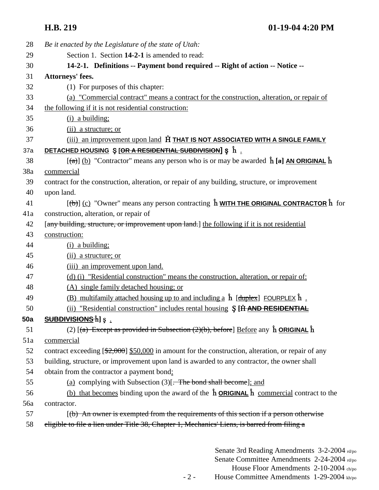| 28  | Be it enacted by the Legislature of the state of Utah:                                                                |
|-----|-----------------------------------------------------------------------------------------------------------------------|
| 29  | Section 1. Section 14-2-1 is amended to read:                                                                         |
| 30  | 14-2-1. Definitions -- Payment bond required -- Right of action -- Notice --                                          |
| 31  | Attorneys' fees.                                                                                                      |
| 32  | (1) For purposes of this chapter:                                                                                     |
| 33  | (a) "Commercial contract" means a contract for the construction, alteration, or repair of                             |
| 34  | the following if it is not residential construction:                                                                  |
| 35  | $(i)$ a building;                                                                                                     |
| 36  | (ii) a structure; or                                                                                                  |
| 37  | (iii) an improvement upon land <b>H</b> THAT IS NOT ASSOCIATED WITH A SINGLE FAMILY                                   |
| 37a | DETACHED HOUSING S [OR A RESIDENTIAL SUBDIVISION] S $\hat{h}$ .                                                       |
| 38  | $[\hat{a}]$ (b) "Contractor" means any person who is or may be awarded $\hat{h}$ [a] AN ORIGINAL $\hat{h}$            |
| 38a | commercial                                                                                                            |
| 39  | contract for the construction, alteration, or repair of any building, structure, or improvement                       |
| 40  | upon land.                                                                                                            |
| 41  | $[\text{ }(\text{ }b)]$ (c) "Owner" means any person contracting $\hat{h}$ WITH THE ORIGINAL CONTRACTOR $\hat{h}$ for |
| 41a | construction, alteration, or repair of                                                                                |
| 42  | [any building, structure, or improvement upon land.] the following if it is not residential                           |
| 43  | construction:                                                                                                         |
| 44  | $(i)$ a building;                                                                                                     |
| 45  | (ii) a structure; or                                                                                                  |
| 46  | (iii) an improvement upon land.                                                                                       |
| 47  | (d) (i) "Residential construction" means the construction, alteration, or repair of:                                  |
| 48  | (A) single family detached housing; or                                                                                |
| 49  | (B) multifamily attached housing up to and including a $\hat{h}$ [duplex] FOURPLEX $\hat{h}$ .                        |
| 50  | (ii) "Residential construction" includes rental housing S [H AND RESIDENTIAL                                          |
| 50a | <b>SUBDIVISIONS h</b> ] <b>ş</b> .                                                                                    |
| 51  | (2) $[(a)$ Except as provided in Subsection (2)(b), before Before any $\hat{h}$ ORIGINAL $\hat{h}$                    |
| 51a | commercial                                                                                                            |
| 52  | contract exceeding $[\frac{2,000}{2,000}]$ s50,000 in amount for the construction, alteration, or repair of any       |
| 53  | building, structure, or improvement upon land is awarded to any contractor, the owner shall                           |
| 54  | obtain from the contractor a payment bond:                                                                            |
| 55  | (a) complying with Subsection $(3)$ . The bond shall become]; and                                                     |
| 56  | (b) that becomes binding upon the award of the $\hat{h}$ <b>ORIGINAL</b> $\hat{h}$ commercial contract to the         |
| 56a | contractor.                                                                                                           |
| 57  | $(6)$ An owner is exempted from the requirements of this section if a person otherwise                                |
| 58  | eligible to file a lien under Title 38, Chapter 1, Mechanics' Liens, is barred from filing a                          |
|     |                                                                                                                       |
|     |                                                                                                                       |

Senate 3rd Reading Amendments 3-2-2004 rd/po Senate Committee Amendments 2-24-2004 rd/po House Floor Amendments 2-10-2004 ch/po - 2 - House Committee Amendments 1-29-2004 kh/po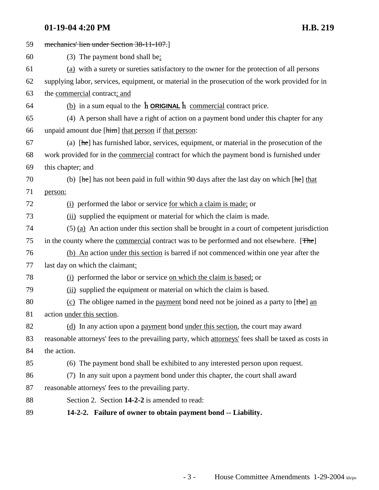# **01-19-04 4:20 PM H.B. 219**

| 59 | mechanics' lien under Section 38-11-107.]                                                                                                     |
|----|-----------------------------------------------------------------------------------------------------------------------------------------------|
| 60 | $(3)$ The payment bond shall be:                                                                                                              |
| 61 | (a) with a surety or sureties satisfactory to the owner for the protection of all persons                                                     |
| 62 | supplying labor, services, equipment, or material in the prosecution of the work provided for in                                              |
| 63 | the commercial contract; and                                                                                                                  |
| 64 | (b) in a sum equal to the $\hat{\mathbf{h}}$ <b>ORIGINAL</b> $\hat{\mathbf{h}}$ commercial contract price.                                    |
| 65 | (4) A person shall have a right of action on a payment bond under this chapter for any                                                        |
| 66 | unpaid amount due [him] that person if that person:                                                                                           |
| 67 | (a) $[he]$ has furnished labor, services, equipment, or material in the prosecution of the                                                    |
| 68 | work provided for in the commercial contract for which the payment bond is furnished under                                                    |
| 69 | this chapter; and                                                                                                                             |
| 70 | (b) $[\frac{\text{he}}{\text{he}}]$ has not been paid in full within 90 days after the last day on which $[\frac{\text{he}}{\text{he}}]$ that |
| 71 | person:                                                                                                                                       |
| 72 | (i) performed the labor or service for which a claim is made; or                                                                              |
| 73 | (ii) supplied the equipment or material for which the claim is made.                                                                          |
| 74 | $(5)$ (a) An action under this section shall be brought in a court of competent jurisdiction                                                  |
| 75 | in the county where the commercial contract was to be performed and not elsewhere. [The]                                                      |
| 76 | (b) An action under this section is barred if not commenced within one year after the                                                         |
| 77 | last day on which the claimant:                                                                                                               |
| 78 | (i) performed the labor or service on which the claim is based; or                                                                            |
| 79 | (ii) supplied the equipment or material on which the claim is based.                                                                          |
| 80 | (c) The obligee named in the payment bond need not be joined as a party to $[the]$ and                                                        |
| 81 | action under this section.                                                                                                                    |
| 82 | (d) In any action upon a payment bond under this section, the court may award                                                                 |
| 83 | reasonable attorneys' fees to the prevailing party, which attorneys' fees shall be taxed as costs in                                          |
| 84 | the action.                                                                                                                                   |
| 85 | (6) The payment bond shall be exhibited to any interested person upon request.                                                                |
| 86 | (7) In any suit upon a payment bond under this chapter, the court shall award                                                                 |
| 87 | reasonable attorneys' fees to the prevailing party.                                                                                           |
| 88 | Section 2. Section 14-2-2 is amended to read:                                                                                                 |
| 89 | 14-2-2. Failure of owner to obtain payment bond -- Liability.                                                                                 |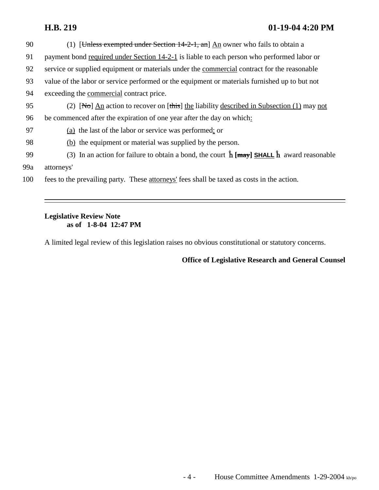## **H.B. 219 01-19-04 4:20 PM**

| 90  | (1) [Unless exempted under Section $14-2-1$ , and An owner who fails to obtain a                                            |
|-----|-----------------------------------------------------------------------------------------------------------------------------|
| 91  | payment bond required under Section 14-2-1 is liable to each person who performed labor or                                  |
| 92  | service or supplied equipment or materials under the commercial contract for the reasonable                                 |
| 93  | value of the labor or service performed or the equipment or materials furnished up to but not                               |
| 94  | exceeding the commercial contract price.                                                                                    |
| 95  | (2) $[\text{No}]$ An action to recover on $[\text{this}]$ the liability described in Subsection (1) may not                 |
| 96  | be commenced after the expiration of one year after the day on which:                                                       |
| 97  | (a) the last of the labor or service was performed; or                                                                      |
| 98  | (b) the equipment or material was supplied by the person.                                                                   |
| 99  | (3) In an action for failure to obtain a bond, the court $\hat{\mathbf{h}}$ [may] SHALL $\hat{\mathbf{h}}$ award reasonable |
| 99a | attorneys'                                                                                                                  |
| 100 | fees to the prevailing party. These attorneys' fees shall be taxed as costs in the action.                                  |

# **Legislative Review Note as of 1-8-04 12:47 PM**

A limited legal review of this legislation raises no obvious constitutional or statutory concerns.

**Office of Legislative Research and General Counsel**